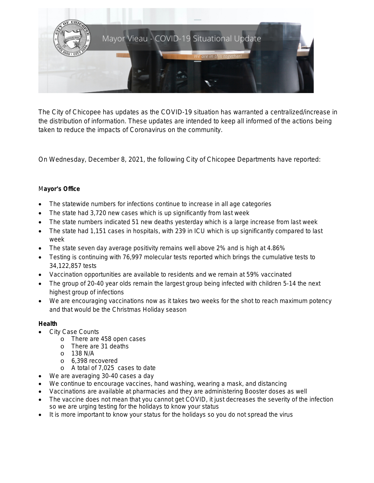

The City of Chicopee has updates as the COVID-19 situation has warranted a centralized/increase in the distribution of information. These updates are intended to keep all informed of the actions being taken to reduce the impacts of Coronavirus on the community.

On Wednesday, December 8, 2021, the following City of Chicopee Departments have reported:

# M**ayor**'**s Office**

- The statewide numbers for infections continue to increase in all age categories
- The state had 3,720 new cases which is up significantly from last week
- The state numbers indicated 51 new deaths yesterday which is a large increase from last week
- The state had 1,151 cases in hospitals, with 239 in ICU which is up significantly compared to last week
- The state seven day average positivity remains well above 2% and is high at 4.86%
- Testing is continuing with 76,997 molecular tests reported which brings the cumulative tests to 34,122,857 tests
- Vaccination opportunities are available to residents and we remain at 59% vaccinated
- The group of 20-40 year olds remain the largest group being infected with children 5-14 the next highest group of infections
- We are encouraging vaccinations now as it takes two weeks for the shot to reach maximum potency and that would be the Christmas Holiday season

# **Health**

- City Case Counts
	- o There are 458 open cases
	- o There are 31 deaths
	- $O$  138 N/A
	- o 6,398 recovered
	- o A total of 7,025 cases to date
- We are averaging 30-40 cases a day
- We continue to encourage vaccines, hand washing, wearing a mask, and distancing
- Vaccinations are available at pharmacies and they are administering Booster doses as well
- The vaccine does not mean that you cannot get COVID, it just decreases the severity of the infection so we are urging testing for the holidays to know your status
- It is more important to know your status for the holidays so you do not spread the virus